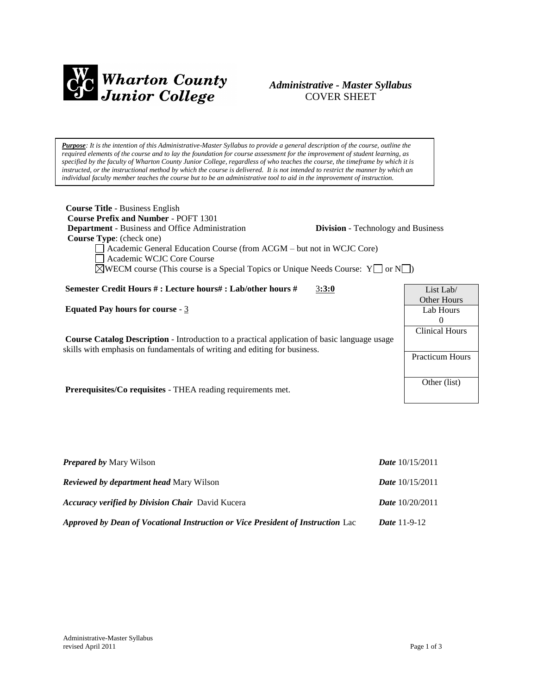

# *Administrative - Master Syllabus*  COVER SHEET

*Purpose: It is the intention of this Administrative-Master Syllabus to provide a general description of the course, outline the required elements of the course and to lay the foundation for course assessment for the improvement of student learning, as specified by the faculty of Wharton County Junior College, regardless of who teaches the course, the timeframe by which it is instructed, or the instructional method by which the course is delivered. It is not intended to restrict the manner by which an individual faculty member teaches the course but to be an administrative tool to aid in the improvement of instruction.*

| <b>Course Title - Business English</b><br><b>Course Prefix and Number - POFT 1301</b><br><b>Department</b> - Business and Office Administration<br><b>Division</b> - Technology and Business<br>Course Type: (check one)<br>Academic General Education Course (from ACGM – but not in WCJC Core)<br>Academic WCJC Core Course<br>$\triangle$ WECM course (This course is a Special Topics or Unique Needs Course: $Y \square$ or $N \square$ ) |                                                             |
|------------------------------------------------------------------------------------------------------------------------------------------------------------------------------------------------------------------------------------------------------------------------------------------------------------------------------------------------------------------------------------------------------------------------------------------------|-------------------------------------------------------------|
| Semester Credit Hours #: Lecture hours#: Lab/other hours #<br>3:3:0                                                                                                                                                                                                                                                                                                                                                                            | List Lab/                                                   |
| Equated Pay hours for course $-3$                                                                                                                                                                                                                                                                                                                                                                                                              | Other Hours<br>Lab Hours                                    |
| <b>Course Catalog Description</b> - Introduction to a practical application of basic language usage<br>skills with emphasis on fundamentals of writing and editing for business.                                                                                                                                                                                                                                                               | $\theta$<br><b>Clinical Hours</b><br><b>Practicum Hours</b> |
| <b>Prerequisites/Co requisites - THEA reading requirements met.</b>                                                                                                                                                                                                                                                                                                                                                                            | Other (list)                                                |

| <b>Prepared by Mary Wilson</b>                                                  | <i>Date</i> $10/15/2011$ |
|---------------------------------------------------------------------------------|--------------------------|
| <b>Reviewed by department head Mary Wilson</b>                                  | <i>Date</i> $10/15/2011$ |
| <b>Accuracy verified by Division Chair</b> David Kucera                         | <b>Date</b> $10/20/2011$ |
| Approved by Dean of Vocational Instruction or Vice President of Instruction Lac | <i>Date</i> $11-9-12$    |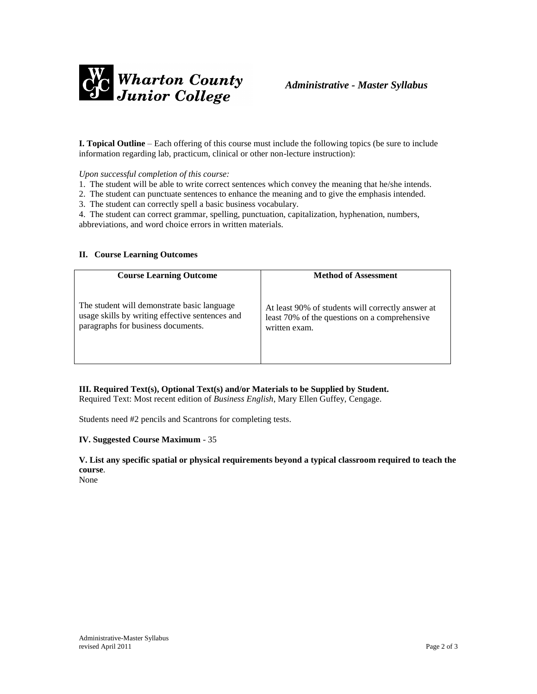

**I. Topical Outline** – Each offering of this course must include the following topics (be sure to include information regarding lab, practicum, clinical or other non-lecture instruction):

*Upon successful completion of this course:* 

- 1. The student will be able to write correct sentences which convey the meaning that he/she intends.
- 2. The student can punctuate sentences to enhance the meaning and to give the emphasis intended.

3. The student can correctly spell a basic business vocabulary.

4. The student can correct grammar, spelling, punctuation, capitalization, hyphenation, numbers, abbreviations, and word choice errors in written materials.

### **II. Course Learning Outcomes**

| <b>Course Learning Outcome</b>                  | <b>Method of Assessment</b>                       |
|-------------------------------------------------|---------------------------------------------------|
| The student will demonstrate basic language     | At least 90% of students will correctly answer at |
| usage skills by writing effective sentences and | least 70% of the questions on a comprehensive     |
| paragraphs for business documents.              | written exam.                                     |

**III. Required Text(s), Optional Text(s) and/or Materials to be Supplied by Student.**

Required Text: Most recent edition of *Business English*, Mary Ellen Guffey, Cengage.

Students need #2 pencils and Scantrons for completing tests.

### **IV. Suggested Course Maximum** - 35

**V. List any specific spatial or physical requirements beyond a typical classroom required to teach the course**.

None